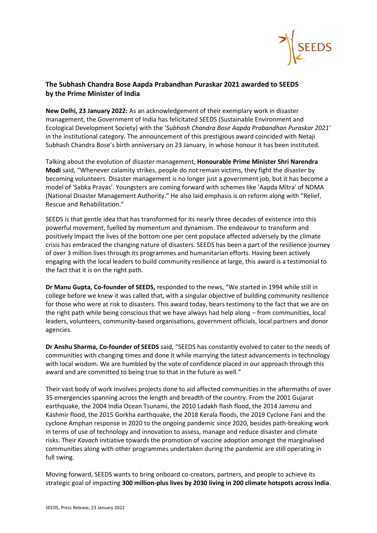

## **The Subhash Chandra Bose Aapda Prabandhan Puraskar 2021 awarded to SEEDS by the Prime Minister of India**

**New Delhi, 23 January 2022:** As an acknowledgement of their exemplary work in disaster management, the Government of India has felicitated SEEDS (Sustainable Environment and Ecological Development Society) with the '*Subhash Chandra Bose Aapda Prabandhan Puraskar 2021'* in the institutional category. The announcement of this prestigious award coincided with Netaji Subhash Chandra Bose's birth anniversary on 23 January, in whose honour it has been instituted.

Talking about the evolution of disaster management, **Honourable Prime Minister Shri Narendra Modi** said, "Whenever calamity strikes, people do not remain victims, they fight the disaster by becoming volunteers. Disaster management is no longer just a government job, but it has become a model of 'Sabka Prayas'. Youngsters are coming forward with schemes like 'Aapda Mitra' of NDMA (National Disaster Management Authority." He also laid emphasis is on reform along with "Relief, Rescue and Rehabilitation."

SEEDS is that gentle idea that has transformed for its nearly three decades of existence into this powerful movement, fuelled by momentum and dynamism. The endeavour to transform and positively impact the lives of the bottom one per cent populace affected adversely by the climate crisis has embraced the changing nature of disasters. SEEDS has been a part of the resilience journey of over 3 million lives through its programmes and humanitarian efforts. Having been actively engaging with the local leaders to build community resilience at large, this award is a testimonial to the fact that it is on the right path.

**Dr Manu Gupta, Co-founder of SEEDS,** responded to the news, "We started in 1994 while still in college before we knew it was called that, with a singular objective of building community resilience for those who were at risk to disasters. This award today, bears testimony to the fact that we are on the right path while being conscious that we have always had help along – from communities, local leaders, volunteers, community-based organisations, government officials, local partners and donor agencies.

**Dr Anshu Sharma, Co-founder of SEEDS** said, "SEEDS has constantly evolved to cater to the needs of communities with changing times and done it while marrying the latest advancements in technology with local wisdom. We are humbled by the vote of confidence placed in our approach through this award and are committed to being true to that in the future as well."

Their vast body of work involves projects done to aid affected communities in the aftermaths of over 35 emergencies spanning across the length and breadth of the country. From the 2001 Gujarat earthquake, the 2004 India Ocean Tsunami, the 2010 Ladakh flash flood, the 2014 Jammu and Kashmir flood, the 2015 Gorkha earthquake, the 2018 Kerala floods, the 2019 Cyclone Fani and the cyclone Amphan response in 2020 to the ongoing pandemic since 2020, besides path-breaking work in terms of use of technology and innovation to assess, manage and reduce disaster and climate risks. Their *Kavach* initiative towards the promotion of vaccine adoption amongst the marginalised communities along with other programmes undertaken during the pandemic are still operating in full swing.

Moving forward, SEEDS wants to bring onboard co-creators, partners, and people to achieve its strategic goal of impacting **300 million-plus lives by 2030 living in 200 climate hotspots across India**.